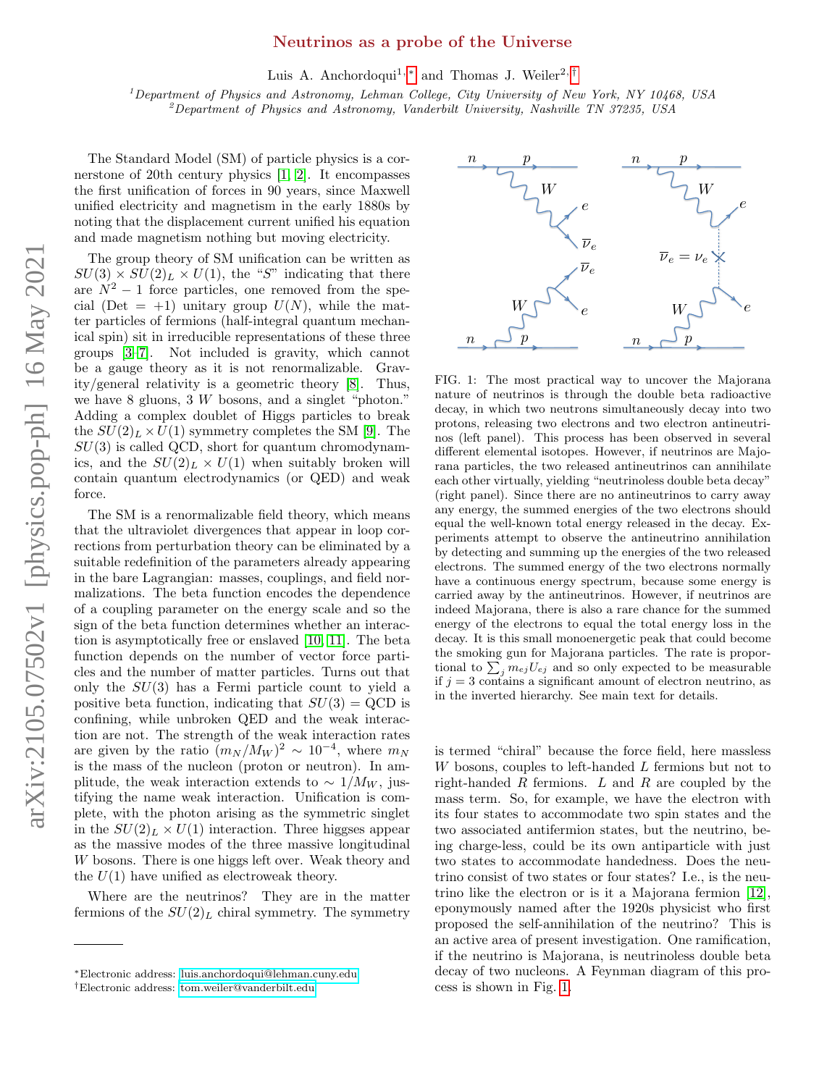## Neutrinos as a probe of the Universe

Luis A. Anchordoqui<sup>1, \*</sup> and Thomas J. Weiler<sup>2, [†](#page-0-1)</sup>

 $1$ Department of Physics and Astronomy, Lehman College, City University of New York, NY 10468, USA  $^{2}$ Department of Physics and Astronomy, Vanderbilt University, Nashville TN 37235, USA

The Standard Model (SM) of particle physics is a cornerstone of 20th century physics [\[1,](#page-3-0) [2\]](#page-3-1). It encompasses the first unification of forces in 90 years, since Maxwell unified electricity and magnetism in the early 1880s by noting that the displacement current unified his equation and made magnetism nothing but moving electricity.

The group theory of SM unification can be written as  $SU(3) \times SU(2)_L \times U(1)$ , the "S" indicating that there are  $N^2 - 1$  force particles, one removed from the special (Det = +1) unitary group  $U(N)$ , while the matter particles of fermions (half-integral quantum mechanical spin) sit in irreducible representations of these three groups [\[3](#page-3-2)[–7\]](#page-3-3). Not included is gravity, which cannot be a gauge theory as it is not renormalizable. Gravity/general relativity is a geometric theory [\[8\]](#page-3-4). Thus, we have 8 gluons, 3 W bosons, and a singlet "photon." Adding a complex doublet of Higgs particles to break the  $SU(2)_L \times U(1)$  symmetry completes the SM [\[9\]](#page-3-5). The  $SU(3)$  is called QCD, short for quantum chromodynamics, and the  $SU(2)_L \times U(1)$  when suitably broken will contain quantum electrodynamics (or QED) and weak force.

The SM is a renormalizable field theory, which means that the ultraviolet divergences that appear in loop corrections from perturbation theory can be eliminated by a suitable redefinition of the parameters already appearing in the bare Lagrangian: masses, couplings, and field normalizations. The beta function encodes the dependence of a coupling parameter on the energy scale and so the sign of the beta function determines whether an interaction is asymptotically free or enslaved [\[10,](#page-3-6) [11\]](#page-3-7). The beta function depends on the number of vector force particles and the number of matter particles. Turns out that only the SU(3) has a Fermi particle count to yield a positive beta function, indicating that  $SU(3) = QCD$  is confining, while unbroken QED and the weak interaction are not. The strength of the weak interaction rates are given by the ratio  $(m_N / M_W)^2 \sim 10^{-4}$ , where  $m_N$ is the mass of the nucleon (proton or neutron). In amplitude, the weak interaction extends to  $\sim 1/M_W$ , justifying the name weak interaction. Unification is complete, with the photon arising as the symmetric singlet in the  $SU(2)_L \times U(1)$  interaction. Three higgses appear as the massive modes of the three massive longitudinal W bosons. There is one higgs left over. Weak theory and the  $U(1)$  have unified as electroweak theory.

Where are the neutrinos? They are in the matter fermions of the  $SU(2)_L$  chiral symmetry. The symmetry



<span id="page-0-2"></span>FIG. 1: The most practical way to uncover the Majorana nature of neutrinos is through the double beta radioactive decay, in which two neutrons simultaneously decay into two protons, releasing two electrons and two electron antineutrinos (left panel). This process has been observed in several different elemental isotopes. However, if neutrinos are Majorana particles, the two released antineutrinos can annihilate each other virtually, yielding "neutrinoless double beta decay" (right panel). Since there are no antineutrinos to carry away any energy, the summed energies of the two electrons should equal the well-known total energy released in the decay. Experiments attempt to observe the antineutrino annihilation by detecting and summing up the energies of the two released electrons. The summed energy of the two electrons normally have a continuous energy spectrum, because some energy is carried away by the antineutrinos. However, if neutrinos are indeed Majorana, there is also a rare chance for the summed energy of the electrons to equal the total energy loss in the decay. It is this small monoenergetic peak that could become the smoking gun for Majorana particles. The rate is proportional to  $\sum_j m_{ej}U_{ej}$  and so only expected to be measurable if  $j = 3$  contains a significant amount of electron neutrino, as in the inverted hierarchy. See main text for details.

is termed "chiral" because the force field, here massless W bosons, couples to left-handed L fermions but not to right-handed  $R$  fermions.  $L$  and  $R$  are coupled by the mass term. So, for example, we have the electron with its four states to accommodate two spin states and the two associated antifermion states, but the neutrino, being charge-less, could be its own antiparticle with just two states to accommodate handedness. Does the neutrino consist of two states or four states? I.e., is the neutrino like the electron or is it a Majorana fermion [\[12\]](#page-3-8), eponymously named after the 1920s physicist who first proposed the self-annihilation of the neutrino? This is an active area of present investigation. One ramification, if the neutrino is Majorana, is neutrinoless double beta decay of two nucleons. A Feynman diagram of this process is shown in Fig. [1.](#page-0-2)

<span id="page-0-0"></span><sup>∗</sup>Electronic address: [luis.anchordoqui@lehman.cuny.edu](mailto:luis.anchordoqui@lehman.cuny.edu)

<span id="page-0-1"></span><sup>†</sup>Electronic address: [tom.weiler@vanderbilt.edu](mailto:tom.weiler@vanderbilt.edu)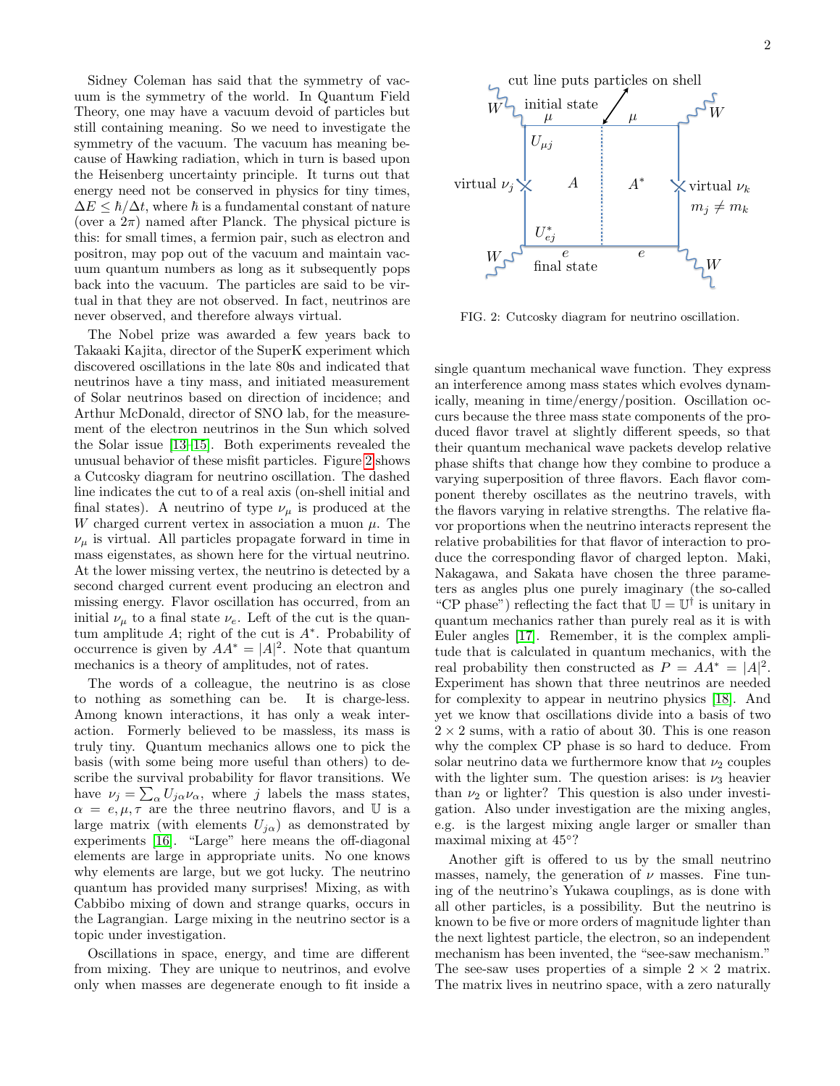Sidney Coleman has said that the symmetry of vacuum is the symmetry of the world. In Quantum Field Theory, one may have a vacuum devoid of particles but still containing meaning. So we need to investigate the symmetry of the vacuum. The vacuum has meaning because of Hawking radiation, which in turn is based upon the Heisenberg uncertainty principle. It turns out that energy need not be conserved in physics for tiny times,  $\Delta E \leq \hbar/\Delta t$ , where  $\hbar$  is a fundamental constant of nature (over a  $2\pi$ ) named after Planck. The physical picture is this: for small times, a fermion pair, such as electron and positron, may pop out of the vacuum and maintain vacuum quantum numbers as long as it subsequently pops back into the vacuum. The particles are said to be virtual in that they are not observed. In fact, neutrinos are never observed, and therefore always virtual.

The Nobel prize was awarded a few years back to Takaaki Kajita, director of the SuperK experiment which discovered oscillations in the late 80s and indicated that neutrinos have a tiny mass, and initiated measurement of Solar neutrinos based on direction of incidence; and Arthur McDonald, director of SNO lab, for the measurement of the electron neutrinos in the Sun which solved the Solar issue [\[13–](#page-3-9)[15\]](#page-3-10). Both experiments revealed the unusual behavior of these misfit particles. Figure [2](#page-1-0) shows a Cutcosky diagram for neutrino oscillation. The dashed line indicates the cut to of a real axis (on-shell initial and final states). A neutrino of type  $\nu_{\mu}$  is produced at the W charged current vertex in association a muon  $\mu$ . The  $\nu_{\mu}$  is virtual. All particles propagate forward in time in mass eigenstates, as shown here for the virtual neutrino. At the lower missing vertex, the neutrino is detected by a second charged current event producing an electron and missing energy. Flavor oscillation has occurred, from an initial  $\nu_{\mu}$  to a final state  $\nu_{e}$ . Left of the cut is the quantum amplitude  $A$ ; right of the cut is  $A^*$ . Probability of occurrence is given by  $AA^* = |A|^2$ . Note that quantum mechanics is a theory of amplitudes, not of rates.

The words of a colleague, the neutrino is as close to nothing as something can be. It is charge-less. Among known interactions, it has only a weak interaction. Formerly believed to be massless, its mass is truly tiny. Quantum mechanics allows one to pick the basis (with some being more useful than others) to describe the survival probability for flavor transitions. We have  $\nu_j = \sum_{\alpha} U_{j\alpha} \nu_{\alpha}$ , where j labels the mass states,  $\alpha = e, \mu, \tau$  are the three neutrino flavors, and U is a large matrix (with elements  $U_{i\alpha}$ ) as demonstrated by experiments [\[16\]](#page-3-11). "Large" here means the off-diagonal elements are large in appropriate units. No one knows why elements are large, but we got lucky. The neutrino quantum has provided many surprises! Mixing, as with Cabbibo mixing of down and strange quarks, occurs in the Lagrangian. Large mixing in the neutrino sector is a topic under investigation.

Oscillations in space, energy, and time are different from mixing. They are unique to neutrinos, and evolve only when masses are degenerate enough to fit inside a



<span id="page-1-0"></span>FIG. 2: Cutcosky diagram for neutrino oscillation.

single quantum mechanical wave function. They express an interference among mass states which evolves dynamically, meaning in time/energy/position. Oscillation occurs because the three mass state components of the produced flavor travel at slightly different speeds, so that their quantum mechanical wave packets develop relative phase shifts that change how they combine to produce a varying superposition of three flavors. Each flavor component thereby oscillates as the neutrino travels, with the flavors varying in relative strengths. The relative flavor proportions when the neutrino interacts represent the relative probabilities for that flavor of interaction to produce the corresponding flavor of charged lepton. Maki, Nakagawa, and Sakata have chosen the three parameters as angles plus one purely imaginary (the so-called "CP phase") reflecting the fact that  $\mathbb{U} = \mathbb{U}^{\dagger}$  is unitary in quantum mechanics rather than purely real as it is with Euler angles [\[17\]](#page-3-12). Remember, it is the complex amplitude that is calculated in quantum mechanics, with the real probability then constructed as  $P = AA^* = |A|^2$ . Experiment has shown that three neutrinos are needed for complexity to appear in neutrino physics [\[18\]](#page-3-13). And yet we know that oscillations divide into a basis of two  $2 \times 2$  sums, with a ratio of about 30. This is one reason why the complex CP phase is so hard to deduce. From solar neutrino data we furthermore know that  $\nu_2$  couples with the lighter sum. The question arises: is  $\nu_3$  heavier than  $\nu_2$  or lighter? This question is also under investigation. Also under investigation are the mixing angles, e.g. is the largest mixing angle larger or smaller than maximal mixing at 45◦ ?

Another gift is offered to us by the small neutrino masses, namely, the generation of  $\nu$  masses. Fine tuning of the neutrino's Yukawa couplings, as is done with all other particles, is a possibility. But the neutrino is known to be five or more orders of magnitude lighter than the next lightest particle, the electron, so an independent mechanism has been invented, the "see-saw mechanism." The see-saw uses properties of a simple  $2 \times 2$  matrix. The matrix lives in neutrino space, with a zero naturally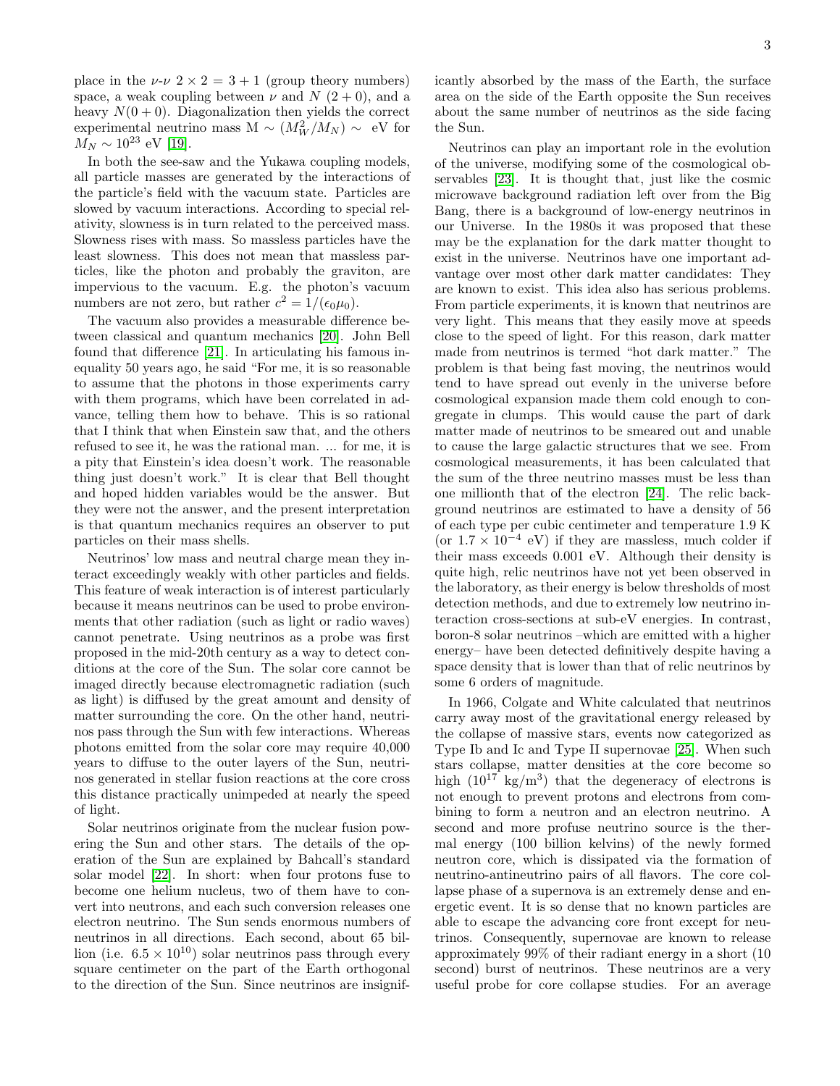place in the  $\nu$ - $\nu$  2  $\times$  2 = 3 + 1 (group theory numbers) space, a weak coupling between  $\nu$  and  $N$  (2+0), and a heavy  $N(0+0)$ . Diagonalization then yields the correct experimental neutrino mass M ~  $(M_W^2/M_N) \sim {\rm eV}$  for  $M_N \sim 10^{23}$  eV [\[19\]](#page-3-14).

In both the see-saw and the Yukawa coupling models, all particle masses are generated by the interactions of the particle's field with the vacuum state. Particles are slowed by vacuum interactions. According to special relativity, slowness is in turn related to the perceived mass. Slowness rises with mass. So massless particles have the least slowness. This does not mean that massless particles, like the photon and probably the graviton, are impervious to the vacuum. E.g. the photon's vacuum numbers are not zero, but rather  $c^2 = 1/(\epsilon_0 \mu_0)$ .

The vacuum also provides a measurable difference between classical and quantum mechanics [\[20\]](#page-4-0). John Bell found that difference [\[21\]](#page-4-1). In articulating his famous inequality 50 years ago, he said "For me, it is so reasonable to assume that the photons in those experiments carry with them programs, which have been correlated in advance, telling them how to behave. This is so rational that I think that when Einstein saw that, and the others refused to see it, he was the rational man. ... for me, it is a pity that Einstein's idea doesn't work. The reasonable thing just doesn't work." It is clear that Bell thought and hoped hidden variables would be the answer. But they were not the answer, and the present interpretation is that quantum mechanics requires an observer to put particles on their mass shells.

Neutrinos' low mass and neutral charge mean they interact exceedingly weakly with other particles and fields. This feature of weak interaction is of interest particularly because it means neutrinos can be used to probe environments that other radiation (such as light or radio waves) cannot penetrate. Using neutrinos as a probe was first proposed in the mid-20th century as a way to detect conditions at the core of the Sun. The solar core cannot be imaged directly because electromagnetic radiation (such as light) is diffused by the great amount and density of matter surrounding the core. On the other hand, neutrinos pass through the Sun with few interactions. Whereas photons emitted from the solar core may require 40,000 years to diffuse to the outer layers of the Sun, neutrinos generated in stellar fusion reactions at the core cross this distance practically unimpeded at nearly the speed of light.

Solar neutrinos originate from the nuclear fusion powering the Sun and other stars. The details of the operation of the Sun are explained by Bahcall's standard solar model [\[22\]](#page-4-2). In short: when four protons fuse to become one helium nucleus, two of them have to convert into neutrons, and each such conversion releases one electron neutrino. The Sun sends enormous numbers of neutrinos in all directions. Each second, about 65 billion (i.e.  $6.5 \times 10^{10}$ ) solar neutrinos pass through every square centimeter on the part of the Earth orthogonal to the direction of the Sun. Since neutrinos are insignificantly absorbed by the mass of the Earth, the surface area on the side of the Earth opposite the Sun receives about the same number of neutrinos as the side facing the Sun.

Neutrinos can play an important role in the evolution of the universe, modifying some of the cosmological observables [\[23\]](#page-4-3). It is thought that, just like the cosmic microwave background radiation left over from the Big Bang, there is a background of low-energy neutrinos in our Universe. In the 1980s it was proposed that these may be the explanation for the dark matter thought to exist in the universe. Neutrinos have one important advantage over most other dark matter candidates: They are known to exist. This idea also has serious problems. From particle experiments, it is known that neutrinos are very light. This means that they easily move at speeds close to the speed of light. For this reason, dark matter made from neutrinos is termed "hot dark matter." The problem is that being fast moving, the neutrinos would tend to have spread out evenly in the universe before cosmological expansion made them cold enough to congregate in clumps. This would cause the part of dark matter made of neutrinos to be smeared out and unable to cause the large galactic structures that we see. From cosmological measurements, it has been calculated that the sum of the three neutrino masses must be less than one millionth that of the electron [\[24\]](#page-4-4). The relic background neutrinos are estimated to have a density of 56 of each type per cubic centimeter and temperature 1.9 K (or  $1.7 \times 10^{-4}$  eV) if they are massless, much colder if their mass exceeds 0.001 eV. Although their density is quite high, relic neutrinos have not yet been observed in the laboratory, as their energy is below thresholds of most detection methods, and due to extremely low neutrino interaction cross-sections at sub-eV energies. In contrast, boron-8 solar neutrinos –which are emitted with a higher energy– have been detected definitively despite having a space density that is lower than that of relic neutrinos by some 6 orders of magnitude.

In 1966, Colgate and White calculated that neutrinos carry away most of the gravitational energy released by the collapse of massive stars, events now categorized as Type Ib and Ic and Type II supernovae [\[25\]](#page-4-5). When such stars collapse, matter densities at the core become so high  $(10^{17} \text{ kg/m}^3)$  that the degeneracy of electrons is not enough to prevent protons and electrons from combining to form a neutron and an electron neutrino. A second and more profuse neutrino source is the thermal energy (100 billion kelvins) of the newly formed neutron core, which is dissipated via the formation of neutrino-antineutrino pairs of all flavors. The core collapse phase of a supernova is an extremely dense and energetic event. It is so dense that no known particles are able to escape the advancing core front except for neutrinos. Consequently, supernovae are known to release approximately 99% of their radiant energy in a short (10 second) burst of neutrinos. These neutrinos are a very useful probe for core collapse studies. For an average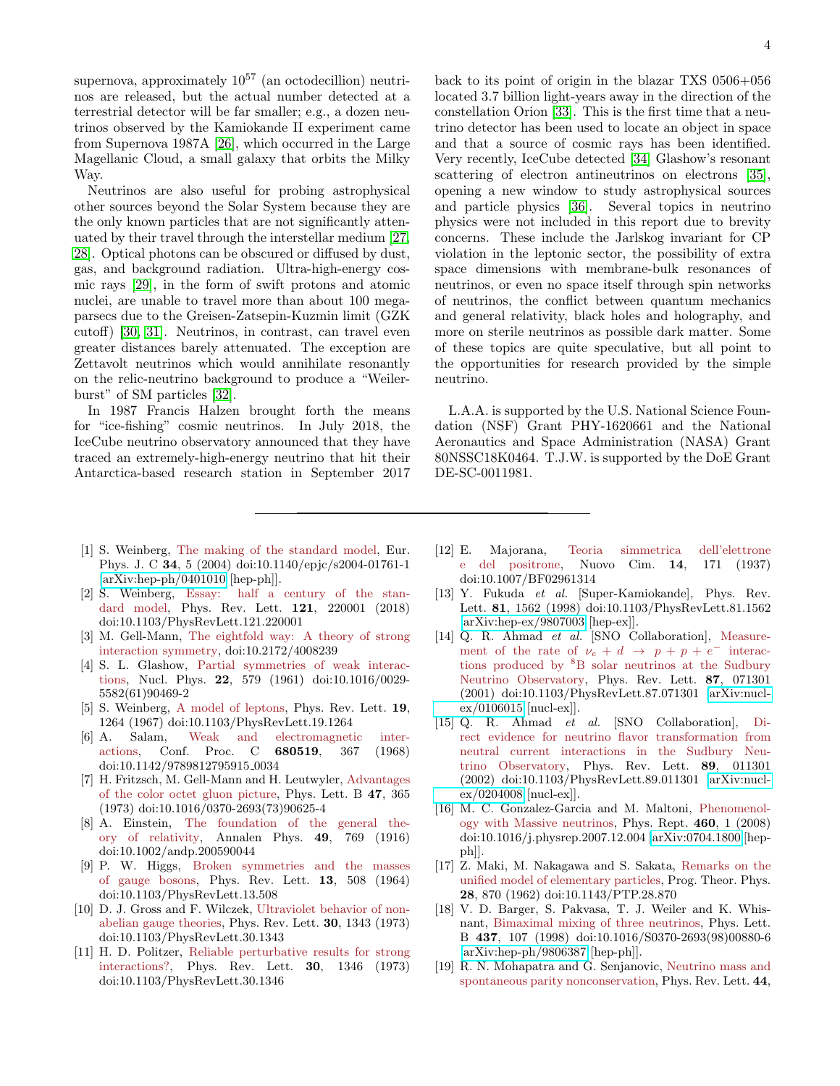supernova, approximately  $10^{57}$  (an octodecillion) neutrinos are released, but the actual number detected at a terrestrial detector will be far smaller; e.g., a dozen neutrinos observed by the Kamiokande II experiment came from Supernova 1987A [\[26\]](#page-4-6), which occurred in the Large Magellanic Cloud, a small galaxy that orbits the Milky Way.

Neutrinos are also useful for probing astrophysical other sources beyond the Solar System because they are the only known particles that are not significantly attenuated by their travel through the interstellar medium [\[27,](#page-4-7) [28\]](#page-4-8). Optical photons can be obscured or diffused by dust, gas, and background radiation. Ultra-high-energy cosmic rays [\[29\]](#page-4-9), in the form of swift protons and atomic nuclei, are unable to travel more than about 100 megaparsecs due to the Greisen-Zatsepin-Kuzmin limit (GZK cutoff) [\[30,](#page-4-10) [31\]](#page-4-11). Neutrinos, in contrast, can travel even greater distances barely attenuated. The exception are Zettavolt neutrinos which would annihilate resonantly on the relic-neutrino background to produce a "Weilerburst" of SM particles [\[32\]](#page-4-12).

In 1987 Francis Halzen brought forth the means for "ice-fishing" cosmic neutrinos. In July 2018, the IceCube neutrino observatory announced that they have traced an extremely-high-energy neutrino that hit their Antarctica-based research station in September 2017

back to its point of origin in the blazar TXS 0506+056 located 3.7 billion light-years away in the direction of the constellation Orion [\[33\]](#page-4-13). This is the first time that a neutrino detector has been used to locate an object in space and that a source of cosmic rays has been identified. Very recently, IceCube detected [\[34\]](#page-4-14) Glashow's resonant scattering of electron antineutrinos on electrons [\[35\]](#page-4-15), opening a new window to study astrophysical sources and particle physics [\[36\]](#page-4-16). Several topics in neutrino physics were not included in this report due to brevity concerns. These include the Jarlskog invariant for CP violation in the leptonic sector, the possibility of extra space dimensions with membrane-bulk resonances of neutrinos, or even no space itself through spin networks of neutrinos, the conflict between quantum mechanics and general relativity, black holes and holography, and more on sterile neutrinos as possible dark matter. Some of these topics are quite speculative, but all point to the opportunities for research provided by the simple neutrino.

L.A.A. is supported by the U.S. National Science Foundation (NSF) Grant PHY-1620661 and the National Aeronautics and Space Administration (NASA) Grant 80NSSC18K0464. T.J.W. is supported by the DoE Grant DE-SC-0011981.

- <span id="page-3-0"></span>[1] S. Weinberg, The making of the standard model, Eur. Phys. J. C 34, 5 (2004) doi:10.1140/epjc/s2004-01761-1  $[\arXiv:hep-ph/0401010$   $[hep-ph]$ .
- <span id="page-3-1"></span>[2] S. Weinberg, Essay: half a century of the standard model, Phys. Rev. Lett. 121, 220001 (2018) doi:10.1103/PhysRevLett.121.220001
- <span id="page-3-2"></span>M. Gell-Mann, The eightfold way: A theory of strong interaction symmetry, doi:10.2172/4008239
- [4] S. L. Glashow, Partial symmetries of weak interactions, Nucl. Phys. 22, 579 (1961) doi:10.1016/0029- 5582(61)90469-2
- [5] S. Weinberg, A model of leptons, Phys. Rev. Lett. 19, 1264 (1967) doi:10.1103/PhysRevLett.19.1264
- [6] A. Salam, Weak and electromagnetic interactions, Conf. Proc. C 680519, 367 (1968) doi:10.1142/9789812795915 0034
- <span id="page-3-3"></span>[7] H. Fritzsch, M. Gell-Mann and H. Leutwyler, Advantages of the color octet gluon picture, Phys. Lett. B 47, 365 (1973) doi:10.1016/0370-2693(73)90625-4
- <span id="page-3-4"></span>[8] A. Einstein, The foundation of the general theory of relativity, Annalen Phys. 49, 769 (1916) doi:10.1002/andp.200590044
- <span id="page-3-5"></span>[9] P. W. Higgs, Broken symmetries and the masses of gauge bosons, Phys. Rev. Lett. 13, 508 (1964) doi:10.1103/PhysRevLett.13.508
- <span id="page-3-6"></span>[10] D. J. Gross and F. Wilczek, Ultraviolet behavior of nonabelian gauge theories, Phys. Rev. Lett. 30, 1343 (1973) doi:10.1103/PhysRevLett.30.1343
- <span id="page-3-7"></span>[11] H. D. Politzer, Reliable perturbative results for strong interactions?, Phys. Rev. Lett. 30, 1346 (1973) doi:10.1103/PhysRevLett.30.1346
- <span id="page-3-8"></span>[12] E. Majorana, Teoria simmetrica dell'elettrone e del positrone, Nuovo Cim. 14, 171 (1937) doi:10.1007/BF02961314
- <span id="page-3-9"></span>[13] Y. Fukuda et al. [Super-Kamiokande], Phys. Rev. Lett. 81, 1562 (1998) doi:10.1103/PhysRevLett.81.1562 [\[arXiv:hep-ex/9807003](http://arxiv.org/abs/hep-ex/9807003) [hep-ex]].
- [14] Q. R. Ahmad et al. [SNO Collaboration], Measurement of the rate of  $\nu_e + d \rightarrow p + p + e^-$  interactions produced by <sup>8</sup>B solar neutrinos at the Sudbury Neutrino Observatory, Phys. Rev. Lett. 87, 071301 (2001) doi:10.1103/PhysRevLett.87.071301 [\[arXiv:nucl](http://arxiv.org/abs/nucl-ex/0106015)[ex/0106015](http://arxiv.org/abs/nucl-ex/0106015) [nucl-ex]].
- <span id="page-3-10"></span>[15] Q. R. Ahmad et al. [SNO Collaboration], Direct evidence for neutrino flavor transformation from neutral current interactions in the Sudbury Neutrino Observatory, Phys. Rev. Lett. 89, 011301 (2002) doi:10.1103/PhysRevLett.89.011301 [\[arXiv:nucl](http://arxiv.org/abs/nucl-ex/0204008)[ex/0204008](http://arxiv.org/abs/nucl-ex/0204008) [nucl-ex]].
- <span id="page-3-11"></span>[16] M. C. Gonzalez-Garcia and M. Maltoni, Phenomenology with Massive neutrinos, Phys. Rept. 460, 1 (2008) doi:10.1016/j.physrep.2007.12.004 [\[arXiv:0704.1800](http://arxiv.org/abs/0704.1800) [hepph]].
- <span id="page-3-12"></span>[17] Z. Maki, M. Nakagawa and S. Sakata, Remarks on the unified model of elementary particles, Prog. Theor. Phys. 28, 870 (1962) doi:10.1143/PTP.28.870
- <span id="page-3-13"></span>[18] V. D. Barger, S. Pakvasa, T. J. Weiler and K. Whisnant, Bimaximal mixing of three neutrinos, Phys. Lett. B 437, 107 (1998) doi:10.1016/S0370-2693(98)00880-6 [\[arXiv:hep-ph/9806387](http://arxiv.org/abs/hep-ph/9806387) [hep-ph]].
- <span id="page-3-14"></span>[19] R. N. Mohapatra and G. Senjanovic, Neutrino mass and spontaneous parity nonconservation, Phys. Rev. Lett. 44,